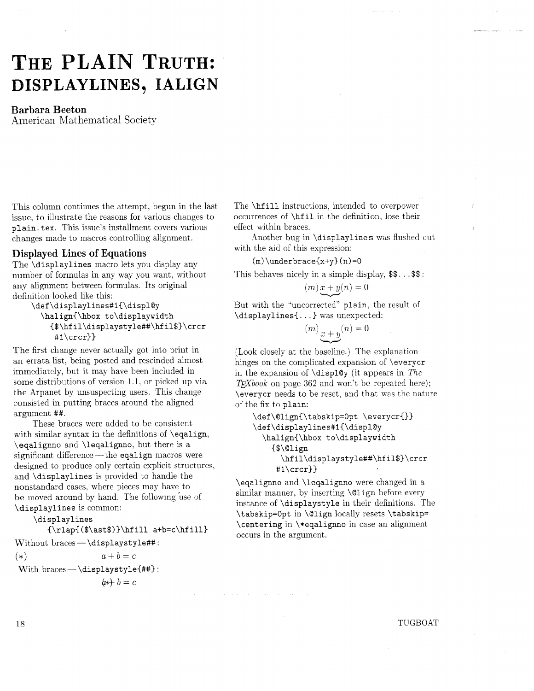## THE PLAIN TRUTH: **DISPLAYLINES, IALIGN**

## **Barbara Beeton**

American Mathematical Society

This column continues the attempt, begun in the last issue, to illustrate the reasons for various changes to **plain. tex.** This issue's installment covers various changes made to macros controlling alignment.

## **Displayed Lines of Equations**

The **\displaylines** macro lets you display any number of formulas in any way you want. without any alignment between formulas. Its original definition looked like this:

\def\displaylines#1{\displ@y **\halign{\hbox to\displaywidth {\$\hf il\displaystyle##\hf il\$}\crcr #i\crcr}}** 

The first change never actually got into print in an errata list, being posted and rescinded almost immediately, but it may have been included in some distributions of version 1.1, or picked up via the Arpanet by unsuspecting users. This change consisted in putting braces around the aligned argument ##.

These braces were added to be consistent with similar syntax in the definitions of **\eqalign, \eqalignno** and **\leqalignno,** but there is a significant difference- the **eqalign** macros were designed to produce only certain explicit structures, and **\displaylines** is provided to handle the nonstandard cases, where pieces may have to be moved around by hand. The following use of **\displaylines** is common:

**\displaylines** 

**{\rlap{(\$\ast\$)}\hfill a+b=c\hfill)** 

Without braces- **\displaystyle##** :

(\*)  $a+b=c$ 

With braces - \displaystyle{##}:

 $b + b = c$ 

The **\hfill** instructions, intended to overpower occurrences of **\hf il** in the definition, lose their effect within braces.

Another bug in **\displaylines** was flushed out with the aid of this expression: expression:<br>
ce{x+y}(n)=0<br>
in a simple disp<br>
m)  $x + y(n) = 0$ <br>
orrected" plain,

(m) **\underbrace{x+y} (n) =O** 

This behaves nicely in a simple display,  $\text{\$}. \ . . \$ 

$$
(m)x+y(n)=0
$$

But with the "uncorrected" **plain,** the result of **\displaylines(.** . . } was unexpected:

$$
m) \underbrace{x + y} (n) = 0
$$

(Look closely at the baseline.) The explanation hinges on the complicated expansion of **\everycr**  in the expansion of **\display** (it appears in The  $T_FXbook$  on page 362 and won't be repeated here); **\everycr** needs to be reset, and that was the nature of the fix to **plain:** 

```
\def\Qlign{\tabskip=Opt \everycr{}} 
\def\displaylines#1{\displ@y
  \halign{\hbox to\displaywidth 
    ($\align 
      \hf il\displaystyle##\hf il$}\crcr 
     #l\crcr)}
```
**\eqalignno** and **\leqalignno** were changed in a similar manner, by inserting **\align** before every instance of **\displayst yle** in their definitions. The **\tabskip=Opt** in **\align** locally resets **\tabskip= \centering** in **\\*eqalignno** in case an alignment occurs in the argument.

TUGBOAT